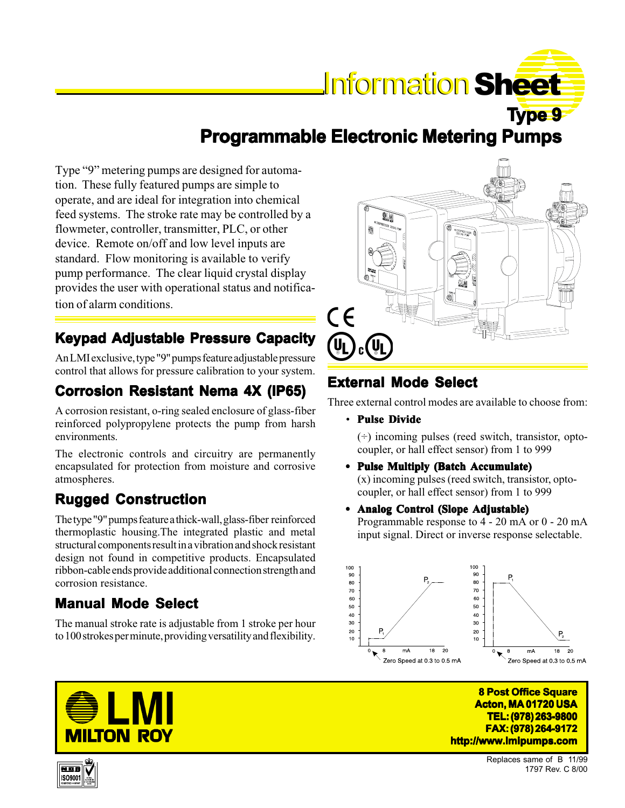# **Information Sheet**

**Type 9 Programmable Electronic Metering Pumps** 

Type "9" metering pumps are designed for automation. These fully featured pumps are simple to operate, and are ideal for integration into chemical feed systems. The stroke rate may be controlled by a flowmeter, controller, transmitter, PLC, or other device. Remote on/off and low level inputs are standard. Flow monitoring is available to verify pump performance. The clear liquid crystal display provides the user with operational status and notification of alarm conditions.

## **Keypad Adjustable Pressure Capacity**

An LMI exclusive, type "9" pumps feature adjustable pressure control that allows for pressure calibration to your system.

## **Corrosion Resistant Nema 4X (IP65) Corrosion Resistant**

A corrosion resistant, o-ring sealed enclosure of glass-fiber reinforced polypropylene protects the pump from harsh environments.

The electronic controls and circuitry are permanently encapsulated for protection from moisture and corrosive atmospheres.

## **Rugged Construction**

The type "9" pumps feature a thick-wall, glass-fiber reinforced thermoplastic housing.The integrated plastic and metal structural components result in a vibration and shock resistant design not found in competitive products. Encapsulated ribbon-cable ends provide additional connection strength and corrosion resistance.

#### **Manual Mode Select**

The manual stroke rate is adjustable from 1 stroke per hour to 100 strokes per minute, providing versatility and flexibility.



## **External Mode Select**

Three external control modes are available to choose from:

• **Pulse Divide**

 $(\div)$  incoming pulses (reed switch, transistor, optocoupler, or hall effect sensor) from 1 to 999

- **• Pulse Multiply (Batch Accumulate) (Batch**  (x) incoming pulses (reed switch, transistor, optocoupler, or hall effect sensor) from 1 to 999
- **• Analog Control (Slope Adjustable) (Slope**

Programmable response to 4 - 20 mA or 0 - 20 mA input signal. Direct or inverse response selectable.







ISO9001

Replaces same of B 11/99 1797 Rev. C 8/00